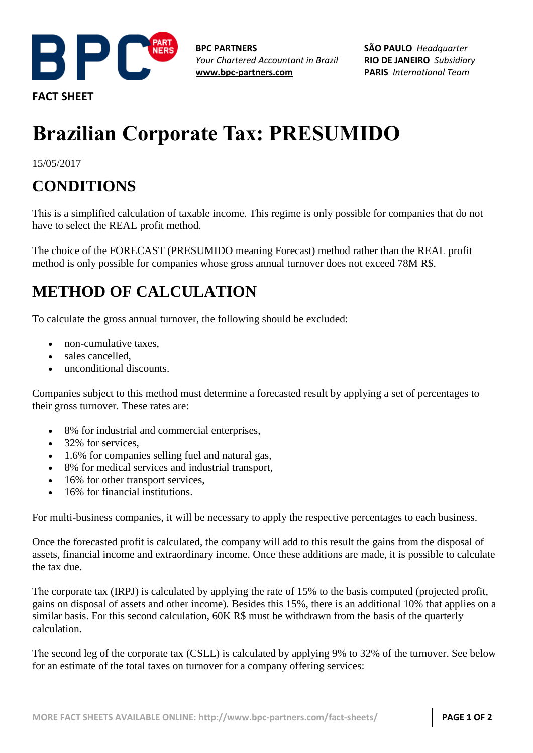

**FACT SHEET**

**BPC PARTNERS** *Your Chartered Accountant in Brazil* **[www.bpc-partners.com](http://www.bpc-partners.com/)**

**SÃO PAULO** *Headquarter* **RIO DE JANEIRO** *Subsidiary* **PARIS** *International Team*

## **Brazilian Corporate Tax: PRESUMIDO**

15/05/2017

## **CONDITIONS**

This is a simplified calculation of taxable income. This regime is only possible for companies that do not have to select the REAL profit method.

The choice of the FORECAST (PRESUMIDO meaning Forecast) method rather than the REAL profit method is only possible for companies whose gross annual turnover does not exceed 78M R\$.

## **METHOD OF CALCULATION**

To calculate the gross annual turnover, the following should be excluded:

- non-cumulative taxes,
- sales cancelled,
- unconditional discounts.

Companies subject to this method must determine a forecasted result by applying a set of percentages to their gross turnover. These rates are:

- 8% for industrial and commercial enterprises,
- 32% for services,
- 1.6% for companies selling fuel and natural gas,
- 8% for medical services and industrial transport,
- 16% for other transport services,
- 16% for financial institutions.

For multi-business companies, it will be necessary to apply the respective percentages to each business.

Once the forecasted profit is calculated, the company will add to this result the gains from the disposal of assets, financial income and extraordinary income. Once these additions are made, it is possible to calculate the tax due.

The corporate tax (IRPJ) is calculated by applying the rate of 15% to the basis computed (projected profit, gains on disposal of assets and other income). Besides this 15%, there is an additional 10% that applies on a similar basis. For this second calculation, 60K R\$ must be withdrawn from the basis of the quarterly calculation.

The second leg of the corporate tax (CSLL) is calculated by applying 9% to 32% of the turnover. See below for an estimate of the total taxes on turnover for a company offering services: